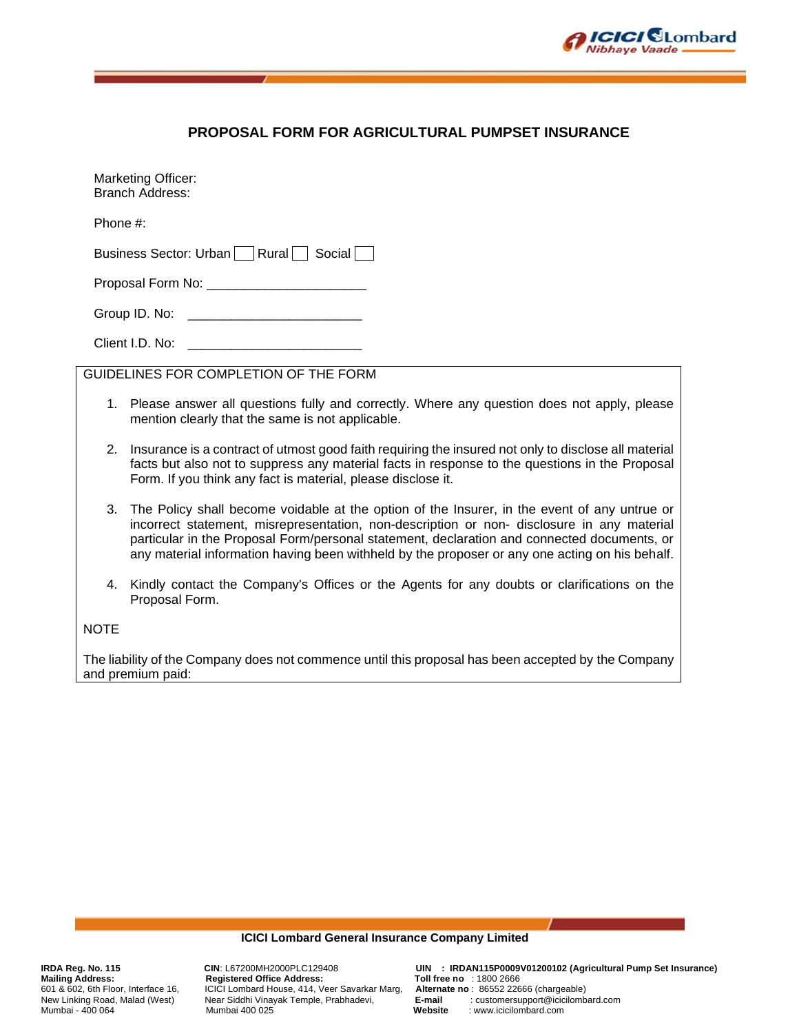

# **PROPOSAL FORM FOR AGRICULTURAL PUMPSET INSURANCE**

Marketing Officer: Branch Address:

Phone #:

Business Sector: Urban  $\Box$  Rural  $\Box$  Social  $\Box$ 

Proposal Form No: **Example 20** 

Group ID. No: \_\_\_\_\_\_\_\_\_\_\_\_\_\_\_\_\_\_\_\_\_\_\_\_

Client I.D. No:

GUIDELINES FOR COMPLETION OF THE FORM

- 1. Please answer all questions fully and correctly. Where any question does not apply, please mention clearly that the same is not applicable.
- 2. Insurance is a contract of utmost good faith requiring the insured not only to disclose all material facts but also not to suppress any material facts in response to the questions in the Proposal Form. If you think any fact is material, please disclose it.
- 3. The Policy shall become voidable at the option of the Insurer, in the event of any untrue or incorrect statement, misrepresentation, non-description or non- disclosure in any material particular in the Proposal Form/personal statement, declaration and connected documents, or any material information having been withheld by the proposer or any one acting on his behalf.
- 4. Kindly contact the Company's Offices or the Agents for any doubts or clarifications on the Proposal Form.

## **NOTE**

The liability of the Company does not commence until this proposal has been accepted by the Company and premium paid:

#### **ICICI Lombard General Insurance Company Limited**

Mailing Address: Registered Office Address: Toll free no : 1800 2666<br>601 & 602, 6th Floor, Interface 16, ICICI Lombard House, 414, Veer Savarkar Marg, Alternate no : 86552 22666 (chargeable) New Linking Road, Malad (West) Near Siddhi Vinayak Temple, Prabhadevi, **E-mail** : customersupport of the mail in Mumbai 400 025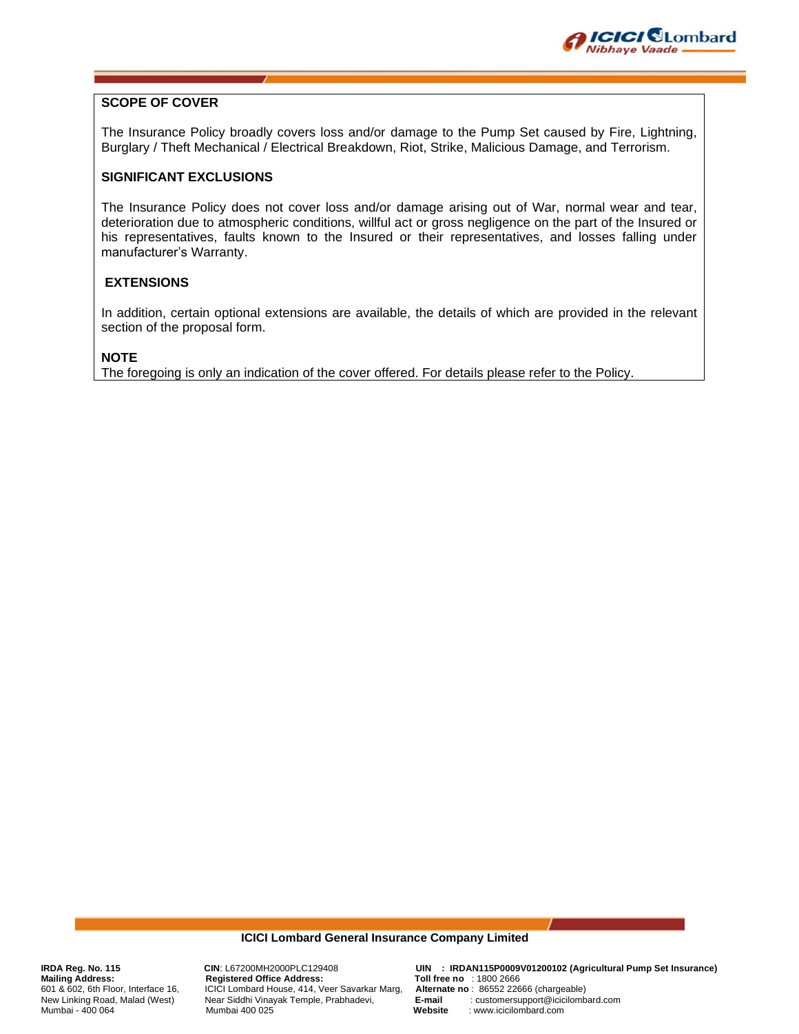

# **SCOPE OF COVER**

The Insurance Policy broadly covers loss and/or damage to the Pump Set caused by Fire, Lightning, Burglary / Theft Mechanical / Electrical Breakdown, Riot, Strike, Malicious Damage, and Terrorism.

## **SIGNIFICANT EXCLUSIONS**

The Insurance Policy does not cover loss and/or damage arising out of War, normal wear and tear, deterioration due to atmospheric conditions, willful act or gross negligence on the part of the Insured or his representatives, faults known to the Insured or their representatives, and losses falling under manufacturer's Warranty.

## **EXTENSIONS**

In addition, certain optional extensions are available, the details of which are provided in the relevant section of the proposal form.

#### **NOTE**

The foregoing is only an indication of the cover offered. For details please refer to the Policy.

#### **ICICI Lombard General Insurance Company Limited**

Mailing Address: Registered Office Address: Toll free no : 1800 2666<br>601 & 602, 6th Floor, Interface 16, ICICI Lombard House, 414, Veer Savarkar Marg, Alternate no : 86552 22666 (chargeable) New Linking Road, Malad (West) Near Siddhi Vinayak Temple, Prabhadevi, **E-mail** : customersupport of the mail in Mumbai 400 025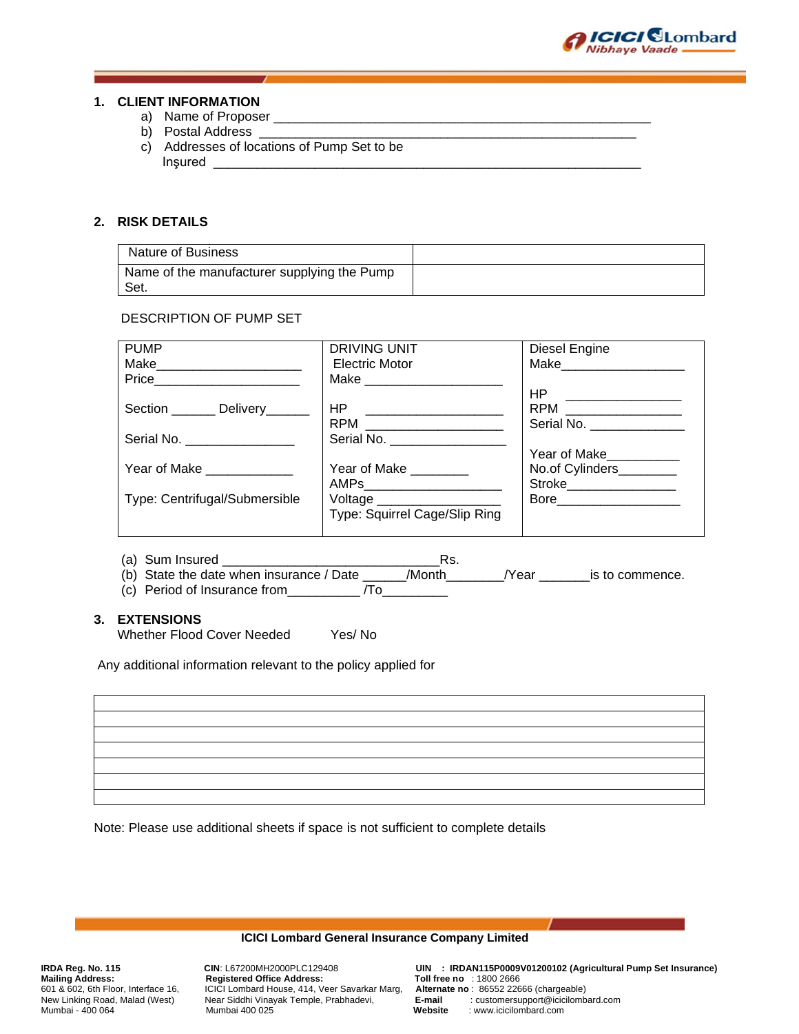

#### **1. CLIENT INFORMATION**

- a) Name of Proposer
- b) Postal Address
- c) Addresses of locations of Pump Set to be Inşured \_\_\_\_\_\_\_\_\_\_\_\_\_\_\_\_\_\_\_\_\_\_\_\_\_\_\_\_\_\_\_\_\_\_\_\_\_\_\_\_\_\_\_\_\_\_\_\_\_\_\_\_\_\_\_\_\_\_\_

## **2. RISK DETAILS**

| Nature of Business                                  |  |
|-----------------------------------------------------|--|
| Name of the manufacturer supplying the Pump<br>Set. |  |

# DESCRIPTION OF PUMP SET

| <b>PUMP</b>                       | DRIVING UNIT                   | Diesel Engine             |
|-----------------------------------|--------------------------------|---------------------------|
| Make______________________        | Electric Motor                 | Make__________            |
| Price__________________________   |                                |                           |
|                                   |                                |                           |
| Section _________ Delivery_______ |                                | RPM _________________     |
|                                   |                                | Serial No. ______________ |
| Serial No.                        | Serial No. ___________________ |                           |
|                                   |                                | Year of Make___________   |
| Year of Make ____________         | Year of Make ________          | No.of Cylinders________   |
|                                   |                                | Stroke__________________  |
| Type: Centrifugal/Submersible     | Voltage ____________________   |                           |
|                                   | Type: Squirrel Cage/Slip Ring  |                           |
|                                   |                                |                           |

- (a) Sum Insured \_\_\_\_\_\_\_\_\_\_\_\_\_\_\_\_\_\_\_\_\_\_\_\_\_\_\_\_\_\_Rs.
- (b) State the date when insurance / Date \_\_\_\_\_\_/Month\_\_\_\_\_\_\_\_/Year \_\_\_\_\_\_\_is to commence.
- (c) Period of Insurance from\_\_\_\_\_\_\_\_\_\_ /To\_\_\_\_\_\_\_\_\_

# **3. EXTENSIONS**

Whether Flood Cover Needed Yes/ No

Any additional information relevant to the policy applied for

Note: Please use additional sheets if space is not sufficient to complete details

#### **ICICI Lombard General Insurance Company Limited**

Mailing Address: Registered Office Address: Toll free no : 1800 2666<br>601 & 602, 6th Floor, Interface 16, ICICI Lombard House, 414, Veer Savarkar Marg, Alternate no : 86552 22666 (chargeable) New Linking Road, Malad (West) Near Siddhi Vinayak Temple, Prabhadevi, **E-mail** : customersupport of the mail str<br>Mumbai - 400 064 Mumbai 400 025